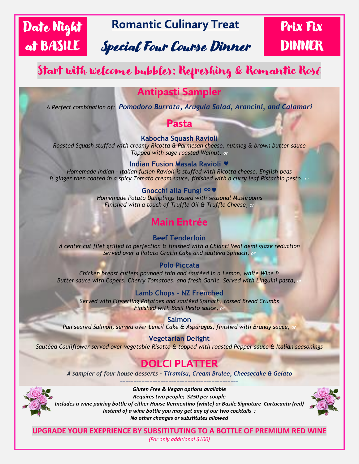# Date Night at BASILE

## **Romantic Culinary Treat**

# Special Four Course Dinner

# Prix Fix DINNER

## Start with welcome bubbles: Refreshing & Romantic Rosé

## **Antipasti Sampler**

*A Perfect combination of: Pomodoro Burrata, Arugula Salad, Arancini, and Calamari*

### **Pasta**

**Kabocha Squash Ravioli**

*Roasted Squash stuffed with creamy Ricotta & Parmesan cheese, nutmeg & brown butter sauce Topped with sage roasted Walnut, or*

### **Indian Fusion Masala Ravioli**

*Homemade Indian – Italian fusion Ravioli is stuffed with Ricotta cheese, English peas & ginger then coated in a spicy Tomato cream sauce, finished with a curry leaf Pistachio pesto, or*

> **Gnocchi alla Fungi** *Homemade Potato Dumplings tossed with seasonal Mushrooms Finished with a touch of Truffle Oil & Truffle Cheese, or*

## **Main Entrée**

### **Beef Tenderloin**

*A center cut filet grilled to perfection & finished with a Chianti Veal demi glaze reduction Served over a Potato Gratin Cake and sautéed Spinach, or*

### **Polo Piccata**

*Chicken breast cutlets pounded thin and sautéed in a Lemon, white Wine & Butter sauce with Capers, Cherry Tomatoes, and fresh Garlic. Served with Linguini pasta,* 

### **Lamb Chops – NZ Frenched**

*Served with Fingerling Potatoes and sautéed Spinach, tossed Bread Crumbs Finished with Basil Pesto sauce, or*

#### **Salmon**

*Pan seared Salmon, served over Lentil Cake & Asparagus, finished with Brandy sauce,* 

#### **Vegetarian Delight**

*Sautéed Cauliflower served over vegetable Risotto & topped with roasted Pepper sauce & Italian seasonings*

### **DOLCI PLATTER**

*A sampler of four house desserts – Tiramisu, Cream Brulee, Cheesecake & Gelato* --------------------------------------------



*Gluten Free & Vegan options available Requires two people; \$250 per couple Includes a wine pairing bottle of either House Vermentino (white) or Basile Signature Cartacanta (red) Instead of a wine bottle you may get any of our two cocktails ; No other changes or substitutes allowed*



**UPGRADE YOUR EXEPRIENCE BY SUBSITITUTING TO A BOTTLE OF PREMIUM RED WINE**

*(For only additional \$100)*